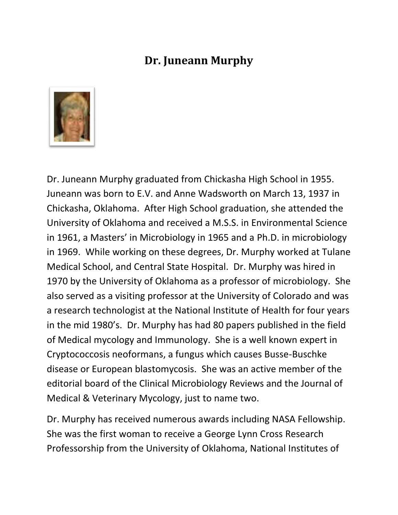## **Dr. Juneann Murphy**



Dr. Juneann Murphy graduated from Chickasha High School in 1955. Juneann was born to E.V. and Anne Wadsworth on March 13, 1937 in Chickasha, Oklahoma. After High School graduation, she attended the University of Oklahoma and received a M.S.S. in Environmental Science in 1961, a Masters' in Microbiology in 1965 and a Ph.D. in microbiology in 1969. While working on these degrees, Dr. Murphy worked at Tulane Medical School, and Central State Hospital. Dr. Murphy was hired in 1970 by the University of Oklahoma as a professor of microbiology. She also served as a visiting professor at the University of Colorado and was a research technologist at the National Institute of Health for four years in the mid 1980's. Dr. Murphy has had 80 papers published in the field of Medical mycology and Immunology. She is a well known expert in Cryptococcosis neoformans, a fungus which causes Busse-Buschke disease or European blastomycosis. She was an active member of the editorial board of the Clinical Microbiology Reviews and the Journal of Medical & Veterinary Mycology, just to name two.

Dr. Murphy has received numerous awards including NASA Fellowship. She was the first woman to receive a George Lynn Cross Research Professorship from the University of Oklahoma, National Institutes of